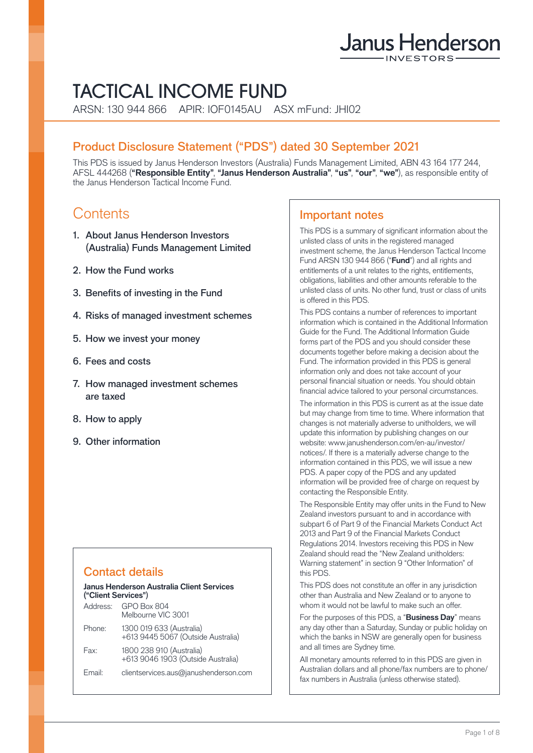# Janus Henderson

## TACTICAL INCOME FUND

ARSN: 130 944 866 APIR: IOF0145AU ASX mFund: JHI02

## Product Disclosure Statement ("PDS") dated 30 September 2021

This PDS is issued by Janus Henderson Investors (Australia) Funds Management Limited, ABN 43 164 177 244, AFSL 444268 (**"Responsible Entity"**, **"Janus Henderson Australia"**, **"us"**, **"our"**, **"we"**), as responsible entity of the Janus Henderson Tactical Income Fund.

## **Contents**

- 1. About Janus Henderson Investors (Australia) Funds Management Limited
- 2. How the Fund works
- 3. Benefits of investing in the Fund
- 4. Risks of managed investment schemes
- 5. How we invest your money
- 6. Fees and costs
- 7. How managed investment schemes are taxed
- 8. How to apply
- 9. Other information

## Contact details

#### **Janus Henderson Australia Client Services ("Client Services"**)

| Address: | <b>GPO Box 804</b><br>Melbourne VIC 3001                       |
|----------|----------------------------------------------------------------|
| Phone:   | 1300 019 633 (Australia)<br>+613 9445 5067 (Outside Australia) |
| Fax:     | 1800 238 910 (Australia)<br>+613 9046 1903 (Outside Australia) |
| Email:   | clientservices.aus@janushenderson.com                          |

## Important notes

This PDS is a summary of significant information about the unlisted class of units in the registered managed investment scheme, the Janus Henderson Tactical Income Fund ARSN 130 944 866 ("**Fund**") and all rights and entitlements of a unit relates to the rights, entitlements, obligations, liabilities and other amounts referable to the unlisted class of units. No other fund, trust or class of units is offered in this PDS.

This PDS contains a number of references to important information which is contained in the Additional Information Guide for the Fund. The Additional Information Guide forms part of the PDS and you should consider these documents together before making a decision about the Fund. The information provided in this PDS is general information only and does not take account of your personal financial situation or needs. You should obtain financial advice tailored to your personal circumstances.

The information in this PDS is current as at the issue date but may change from time to time. Where information that changes is not materially adverse to unitholders, we will update this information by publishing changes on our website: [www.janushenderson.com/en-au/investor/](http://www.janushenderson.com/en-au/investor/notices/) [notices/](http://www.janushenderson.com/en-au/investor/notices/). If there is a materially adverse change to the information contained in this PDS, we will issue a new PDS. A paper copy of the PDS and any updated information will be provided free of charge on request by contacting the Responsible Entity.

The Responsible Entity may offer units in the Fund to New Zealand investors pursuant to and in accordance with subpart 6 of Part 9 of the Financial Markets Conduct Act 2013 and Part 9 of the Financial Markets Conduct Regulations 2014. Investors receiving this PDS in New Zealand should read the "New Zealand unitholders: Warning statement" in section 9 "Other Information" of this PDS.

This PDS does not constitute an offer in any jurisdiction other than Australia and New Zealand or to anyone to whom it would not be lawful to make such an offer.

For the purposes of this PDS, a "**Business Day**" means any day other than a Saturday, Sunday or public holiday on which the banks in NSW are generally open for business and all times are Sydney time.

All monetary amounts referred to in this PDS are given in Australian dollars and all phone/fax numbers are to phone/ fax numbers in Australia (unless otherwise stated).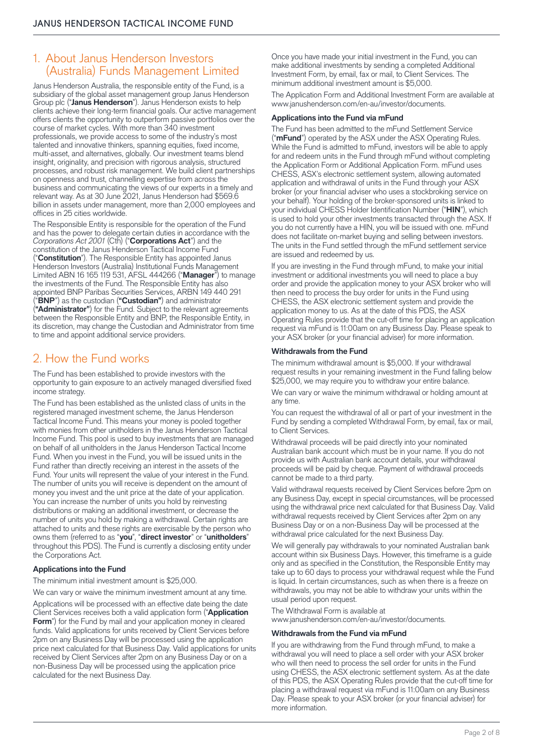## 1. About Janus Henderson Investors (Australia) Funds Management Limited

Janus Henderson Australia, the responsible entity of the Fund, is a subsidiary of the global asset management group Janus Henderson Group plc ("**Janus Henderson**"). Janus Henderson exists to help clients achieve their long-term financial goals. Our active management offers clients the opportunity to outperform passive portfolios over the course of market cycles. With more than 340 investment professionals, we provide access to some of the industry's most talented and innovative thinkers, spanning equities, fixed income, multi-asset, and alternatives, globally. Our investment teams blend insight, originality, and precision with rigorous analysis, structured processes, and robust risk management. We build client partnerships on openness and trust, channelling expertise from across the business and communicating the views of our experts in a timely and relevant way. As at 30 June 2021, Janus Henderson had \$569.6 billion in assets under management, more than 2,000 employees and offices in 25 cities worldwide.

The Responsible Entity is responsible for the operation of the Fund and has the power to delegate certain duties in accordance with the *Corporations Act 2001* (Cth) ("**Corporations Act**") and the constitution of the Janus Henderson Tactical Income Fund ("**Constitution**"). The Responsible Entity has appointed Janus Henderson Investors (Australia) Institutional Funds Management Limited ABN 16 165 119 531, AFSL 444266 ("**Manager**") to manage the investments of the Fund. The Responsible Entity has also appointed BNP Paribas Securities Services, ARBN 149 440 291 ("**BNP**") as the custodian (**"Custodian"**) and administrator (**"Administrator"**) for the Fund. Subject to the relevant agreements between the Responsible Entity and BNP, the Responsible Entity, in its discretion, may change the Custodian and Administrator from time to time and appoint additional service providers.

## 2. How the Fund works

The Fund has been established to provide investors with the opportunity to gain exposure to an actively managed diversified fixed income strategy.

The Fund has been established as the unlisted class of units in the registered managed investment scheme, the Janus Henderson Tactical Income Fund. This means your money is pooled together with monies from other unitholders in the Janus Henderson Tactical Income Fund. This pool is used to buy investments that are managed on behalf of all unitholders in the Janus Henderson Tactical Income Fund. When you invest in the Fund, you will be issued units in the Fund rather than directly receiving an interest in the assets of the Fund. Your units will represent the value of your interest in the Fund. The number of units you will receive is dependent on the amount of money you invest and the unit price at the date of your application. You can increase the number of units you hold by reinvesting distributions or making an additional investment, or decrease the number of units you hold by making a withdrawal. Certain rights are attached to units and these rights are exercisable by the person who owns them (referred to as "**you**", "**direct investor**" or "**unitholders**" throughout this PDS). The Fund is currently a disclosing entity under the Corporations Act.

#### **Applications into the Fund**

The minimum initial investment amount is \$25,000.

We can vary or waive the minimum investment amount at any time. Applications will be processed with an effective date being the date Client Services receives both a valid application form ("**Application Form**") for the Fund by mail and your application money in cleared funds. Valid applications for units received by Client Services before 2pm on any Business Day will be processed using the application price next calculated for that Business Day. Valid applications for units received by Client Services after 2pm on any Business Day or on a non-Business Day will be processed using the application price calculated for the next Business Day.

Once you have made your initial investment in the Fund, you can make additional investments by sending a completed Additional Investment Form, by email, fax or mail, to Client Services. The minimum additional investment amount is \$5,000.

The Application Form and Additional Investment Form are available at [www.janushenderson.com/en-au/investor/documents.](http://www.janushenderson.com/en-au/investor/documents)

#### **Applications into the Fund via mFund**

The Fund has been admitted to the mFund Settlement Service ("**mFund**") operated by the ASX under the ASX Operating Rules. While the Fund is admitted to mFund, investors will be able to apply for and redeem units in the Fund through mFund without completing the Application Form or Additional Application Form. mFund uses CHESS, ASX's electronic settlement system, allowing automated application and withdrawal of units in the Fund through your ASX broker (or your financial adviser who uses a stockbroking service on your behalf). Your holding of the broker-sponsored units is linked to your individual CHESS Holder Identification Number ("**HIN**"), which is used to hold your other investments transacted through the ASX. If you do not currently have a HIN, you will be issued with one. mFund does not facilitate on-market buying and selling between investors. The units in the Fund settled through the mFund settlement service are issued and redeemed by us.

If you are investing in the Fund through mFund, to make your initial investment or additional investments you will need to place a buy order and provide the application money to your ASX broker who will then need to process the buy order for units in the Fund using CHESS, the ASX electronic settlement system and provide the application money to us. As at the date of this PDS, the ASX Operating Rules provide that the cut-off time for placing an application request via mFund is 11:00am on any Business Day. Please speak to your ASX broker (or your financial adviser) for more information.

#### **Withdrawals from the Fund**

The minimum withdrawal amount is \$5,000. If your withdrawal request results in your remaining investment in the Fund falling below \$25,000, we may require you to withdraw your entire balance.

We can vary or waive the minimum withdrawal or holding amount at any time.

You can request the withdrawal of all or part of your investment in the Fund by sending a completed Withdrawal Form, by email, fax or mail, to Client Services.

Withdrawal proceeds will be paid directly into your nominated Australian bank account which must be in your name. If you do not provide us with Australian bank account details, your withdrawal proceeds will be paid by cheque. Payment of withdrawal proceeds cannot be made to a third party.

Valid withdrawal requests received by Client Services before 2pm on any Business Day, except in special circumstances, will be processed using the withdrawal price next calculated for that Business Day. Valid withdrawal requests received by Client Services after 2pm on any Business Day or on a non-Business Day will be processed at the withdrawal price calculated for the next Business Day.

We will generally pay withdrawals to your nominated Australian bank account within six Business Days. However, this timeframe is a guide only and as specified in the Constitution, the Responsible Entity may take up to 60 days to process your withdrawal request while the Fund is liquid. In certain circumstances, such as when there is a freeze on withdrawals, you may not be able to withdraw your units within the usual period upon request.

The Withdrawal Form is available at

[www.janushenderson.com/en-au/investor/documents](http://www.janushenderson.com/en-au/investor/documents).

#### **Withdrawals from the Fund via mFund**

If you are withdrawing from the Fund through mFund, to make a withdrawal you will need to place a sell order with your ASX broker who will then need to process the sell order for units in the Fund using CHESS, the ASX electronic settlement system. As at the date of this PDS, the ASX Operating Rules provide that the cut-off time for placing a withdrawal request via mFund is 11:00am on any Business Day. Please speak to your ASX broker (or your financial adviser) for more information.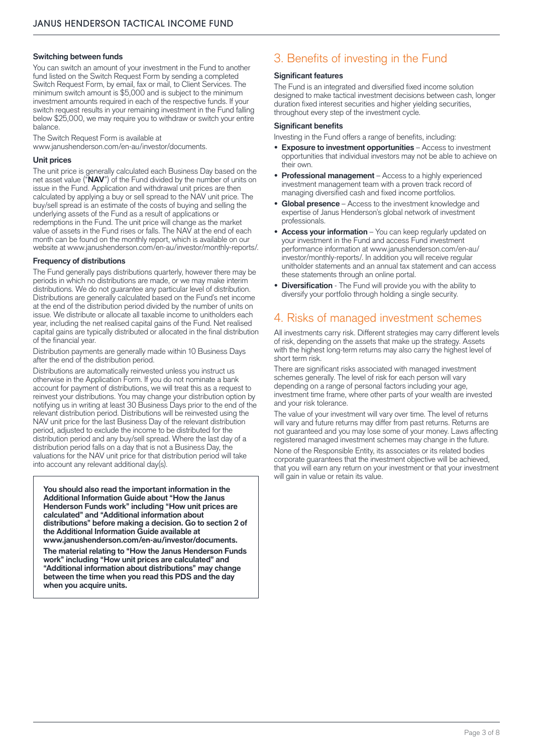#### **Switching between funds**

You can switch an amount of your investment in the Fund to another fund listed on the Switch Request Form by sending a completed Switch Request Form, by email, fax or mail, to Client Services. The minimum switch amount is \$5,000 and is subject to the minimum investment amounts required in each of the respective funds. If your switch request results in your remaining investment in the Fund falling below \$25,000, we may require you to withdraw or switch your entire balance.

The Switch Request Form is available at [www.janushenderson.com/en-au/investor/documents.](http://www.janushenderson.com/en-au/investor/documents)

#### **Unit prices**

The unit price is generally calculated each Business Day based on the net asset value ("**NAV**") of the Fund divided by the number of units on issue in the Fund. Application and withdrawal unit prices are then calculated by applying a buy or sell spread to the NAV unit price. The buy/sell spread is an estimate of the costs of buying and selling the underlying assets of the Fund as a result of applications or redemptions in the Fund. The unit price will change as the market value of assets in the Fund rises or falls. The NAV at the end of each month can be found on the monthly report, which is available on our website at [www.janushenderson.com/en-au/investor/monthly-reports/.](http://www.janushenderson.com/en-au/investor/monthly-reports/)

#### **Frequency of distributions**

The Fund generally pays distributions quarterly, however there may be periods in which no distributions are made, or we may make interim distributions. We do not guarantee any particular level of distribution. Distributions are generally calculated based on the Fund's net income at the end of the distribution period divided by the number of units on issue. We distribute or allocate all taxable income to unitholders each year, including the net realised capital gains of the Fund. Net realised capital gains are typically distributed or allocated in the final distribution of the financial year.

Distribution payments are generally made within 10 Business Days after the end of the distribution period.

Distributions are automatically reinvested unless you instruct us otherwise in the Application Form. If you do not nominate a bank account for payment of distributions, we will treat this as a request to reinvest your distributions. You may change your distribution option by notifying us in writing at least 30 Business Days prior to the end of the relevant distribution period. Distributions will be reinvested using the NAV unit price for the last Business Day of the relevant distribution period, adjusted to exclude the income to be distributed for the distribution period and any buy/sell spread. Where the last day of a distribution period falls on a day that is not a Business Day, the valuations for the NAV unit price for that distribution period will take into account any relevant additional day(s).

**You should also read the important information in the Additional Information Guide about "How the Janus Henderson Funds work" including "How unit prices are calculated" and "Additional information about distributions" before making a decision. Go to section 2 of the Additional Information Guide available at [www.janushenderson.com/en-au/investor/documents](http://www.janushenderson.com/en-au/investor/documents).**

**The material relating to "How the Janus Henderson Funds work" including "How unit prices are calculated" and "Additional information about distributions" may change between the time when you read this PDS and the day when you acquire units.** 

## 3. Benefits of investing in the Fund

#### **Significant features**

The Fund is an integrated and diversified fixed income solution designed to make tactical investment decisions between cash, longer duration fixed interest securities and higher yielding securities, throughout every step of the investment cycle.

#### **Significant benefits**

Investing in the Fund offers a range of benefits, including:

- **Exposure to investment opportunities** Access to investment opportunities that individual investors may not be able to achieve on their own.
- **• Professional management** Access to a highly experienced investment management team with a proven track record of managing diversified cash and fixed income portfolios.
- **• Global presence** Access to the investment knowledge and expertise of Janus Henderson's global network of investment professionals.
- **• Access your information** You can keep regularly updated on your investment in the Fund and access Fund investment performance information at [www.janushenderson.com/en-au/](http://www.janushenderson.com/en-au/investor/monthly-reports/) [investor/monthly-reports/.](http://www.janushenderson.com/en-au/investor/monthly-reports/) In addition you will receive regular unitholder statements and an annual tax statement and can access these statements through an online portal.
- **• Diversification** The Fund will provide you with the ability to diversify your portfolio through holding a single security.

## 4. Risks of managed investment schemes

All investments carry risk. Different strategies may carry different levels of risk, depending on the assets that make up the strategy. Assets with the highest long-term returns may also carry the highest level of short term risk.

There are significant risks associated with managed investment schemes generally. The level of risk for each person will vary depending on a range of personal factors including your age, investment time frame, where other parts of your wealth are invested and your risk tolerance.

The value of your investment will vary over time. The level of returns will vary and future returns may differ from past returns. Returns are not guaranteed and you may lose some of your money. Laws affecting registered managed investment schemes may change in the future. None of the Responsible Entity, its associates or its related bodies corporate guarantees that the investment objective will be achieved, that you will earn any return on your investment or that your investment will gain in value or retain its value.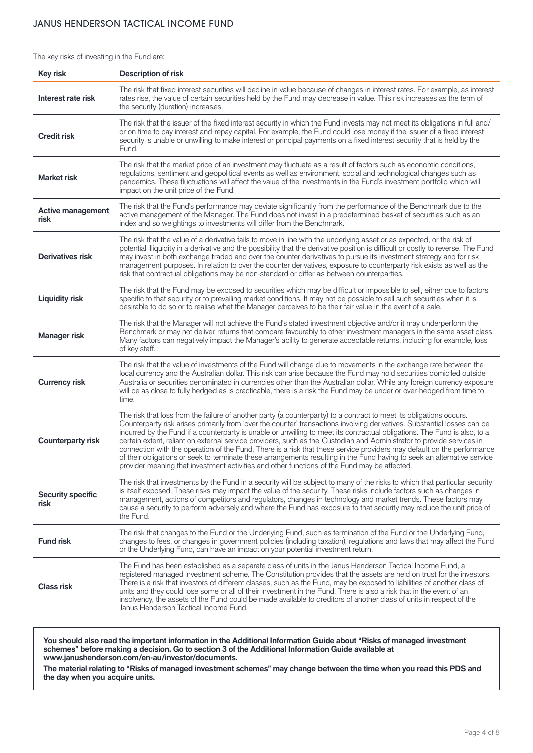The key risks of investing in the Fund are:

| <b>Key risk</b>                  | <b>Description of risk</b>                                                                                                                                                                                                                                                                                                                                                                                                                                                                                                                                                                                                                                                                                                                                                                                                                                  |
|----------------------------------|-------------------------------------------------------------------------------------------------------------------------------------------------------------------------------------------------------------------------------------------------------------------------------------------------------------------------------------------------------------------------------------------------------------------------------------------------------------------------------------------------------------------------------------------------------------------------------------------------------------------------------------------------------------------------------------------------------------------------------------------------------------------------------------------------------------------------------------------------------------|
| Interest rate risk               | The risk that fixed interest securities will decline in value because of changes in interest rates. For example, as interest<br>rates rise, the value of certain securities held by the Fund may decrease in value. This risk increases as the term of<br>the security (duration) increases.                                                                                                                                                                                                                                                                                                                                                                                                                                                                                                                                                                |
| <b>Credit risk</b>               | The risk that the issuer of the fixed interest security in which the Fund invests may not meet its obligations in full and/<br>or on time to pay interest and repay capital. For example, the Fund could lose money if the issuer of a fixed interest<br>security is unable or unwilling to make interest or principal payments on a fixed interest security that is held by the<br>Fund.                                                                                                                                                                                                                                                                                                                                                                                                                                                                   |
| <b>Market risk</b>               | The risk that the market price of an investment may fluctuate as a result of factors such as economic conditions,<br>regulations, sentiment and geopolitical events as well as environment, social and technological changes such as<br>pandemics. These fluctuations will affect the value of the investments in the Fund's investment portfolio which will<br>impact on the unit price of the Fund.                                                                                                                                                                                                                                                                                                                                                                                                                                                       |
| <b>Active management</b><br>risk | The risk that the Fund's performance may deviate significantly from the performance of the Benchmark due to the<br>active management of the Manager. The Fund does not invest in a predetermined basket of securities such as an<br>index and so weightings to investments will differ from the Benchmark.                                                                                                                                                                                                                                                                                                                                                                                                                                                                                                                                                  |
| Derivatives risk                 | The risk that the value of a derivative fails to move in line with the underlying asset or as expected, or the risk of<br>potential illiquidity in a derivative and the possibility that the derivative position is difficult or costly to reverse. The Fund<br>may invest in both exchange traded and over the counter derivatives to pursue its investment strategy and for risk<br>management purposes. In relation to over the counter derivatives, exposure to counterparty risk exists as well as the<br>risk that contractual obligations may be non-standard or differ as between counterparties.                                                                                                                                                                                                                                                   |
| <b>Liquidity risk</b>            | The risk that the Fund may be exposed to securities which may be difficult or impossible to sell, either due to factors<br>specific to that security or to prevailing market conditions. It may not be possible to sell such securities when it is<br>desirable to do so or to realise what the Manager perceives to be their fair value in the event of a sale.                                                                                                                                                                                                                                                                                                                                                                                                                                                                                            |
| Manager risk                     | The risk that the Manager will not achieve the Fund's stated investment objective and/or it may underperform the<br>Benchmark or may not deliver returns that compare favourably to other investment managers in the same asset class.<br>Many factors can negatively impact the Manager's ability to generate acceptable returns, including for example, loss<br>of key staff.                                                                                                                                                                                                                                                                                                                                                                                                                                                                             |
| <b>Currency risk</b>             | The risk that the value of investments of the Fund will change due to movements in the exchange rate between the<br>local currency and the Australian dollar. This risk can arise because the Fund may hold securities domiciled outside<br>Australia or securities denominated in currencies other than the Australian dollar. While any foreign currency exposure<br>will be as close to fully hedged as is practicable, there is a risk the Fund may be under or over-hedged from time to<br>time.                                                                                                                                                                                                                                                                                                                                                       |
| <b>Counterparty risk</b>         | The risk that loss from the failure of another party (a counterparty) to a contract to meet its obligations occurs.<br>Counterparty risk arises primarily from 'over the counter' transactions involving derivatives. Substantial losses can be<br>incurred by the Fund if a counterparty is unable or unwilling to meet its contractual obligations. The Fund is also, to a<br>certain extent, reliant on external service providers, such as the Custodian and Administrator to provide services in<br>connection with the operation of the Fund. There is a risk that these service providers may default on the performance<br>of their obligations or seek to terminate these arrangements resulting in the Fund having to seek an alternative service<br>provider meaning that investment activities and other functions of the Fund may be affected. |
| <b>Security specific</b><br>risk | The risk that investments by the Fund in a security will be subject to many of the risks to which that particular security<br>is itself exposed. These risks may impact the value of the security. These risks include factors such as changes in<br>management, actions of competitors and regulators, changes in technology and market trends. These factors may<br>cause a security to perform adversely and where the Fund has exposure to that security may reduce the unit price of<br>the Fund.                                                                                                                                                                                                                                                                                                                                                      |
| <b>Fund risk</b>                 | The risk that changes to the Fund or the Underlying Fund, such as termination of the Fund or the Underlying Fund,<br>changes to fees, or changes in government policies (including taxation), regulations and laws that may affect the Fund<br>or the Underlying Fund, can have an impact on your potential investment return.                                                                                                                                                                                                                                                                                                                                                                                                                                                                                                                              |
| <b>Class risk</b>                | The Fund has been established as a separate class of units in the Janus Henderson Tactical Income Fund, a<br>registered managed investment scheme. The Constitution provides that the assets are held on trust for the investors.<br>There is a risk that investors of different classes, such as the Fund, may be exposed to liabilities of another class of<br>units and they could lose some or all of their investment in the Fund. There is also a risk that in the event of an<br>insolvency, the assets of the Fund could be made available to creditors of another class of units in respect of the<br>Janus Henderson Tactical Income Fund.                                                                                                                                                                                                        |

**You should also read the important information in the Additional Information Guide about "Risks of managed investment schemes" before making a decision. Go to section 3 of the Additional Information Guide available at [www.janushenderson.com/en-au/investor/documents](http://www.janushenderson.com/en-au/investor/documents).**

**The material relating to "Risks of managed investment schemes" may change between the time when you read this PDS and the day when you acquire units.**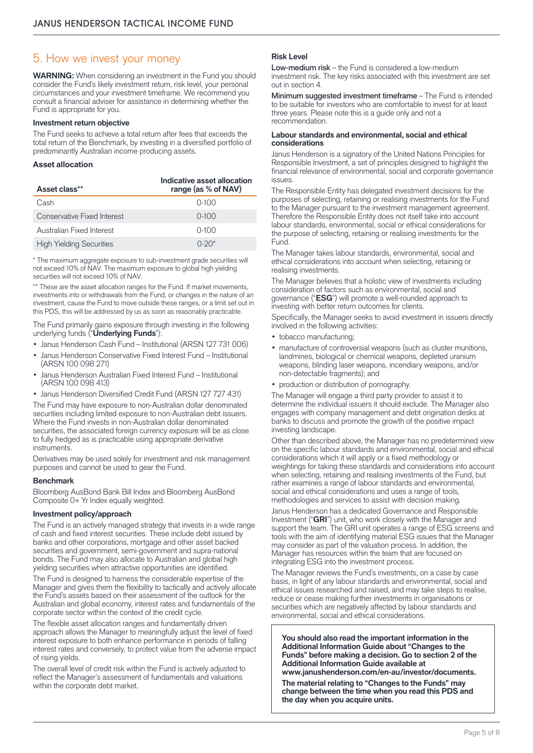### 5. How we invest your money

**WARNING:** When considering an investment in the Fund you should consider the Fund's likely investment return, risk level, your personal circumstances and your investment timeframe. We recommend you consult a financial adviser for assistance in determining whether the Fund is appropriate for you.

#### **Investment return objective**

The Fund seeks to achieve a total return after fees that exceeds the total return of the Benchmark, by investing in a diversified portfolio of predominantly Australian income producing assets.

#### **Asset allocation**

| Asset class**                   | Indicative asset allocation<br>range (as % of NAV) |
|---------------------------------|----------------------------------------------------|
| Cash                            | $0-100$                                            |
| Conservative Fixed Interest     | $0-100$                                            |
| Australian Fixed Interest       | $0 - 100$                                          |
| <b>High Yielding Securities</b> | $0 - 20*$                                          |

\* The maximum aggregate exposure to sub-investment grade securities will not exceed 10% of NAV. The maximum exposure to global high yielding securities will not exceed 10% of NAV.

\*\* These are the asset allocation ranges for the Fund. If market movements, investments into or withdrawals from the Fund, or changes in the nature of an investment, cause the Fund to move outside these ranges, or a limit set out in this PDS, this will be addressed by us as soon as reasonably practicable.

The Fund primarily gains exposure through investing in the following underlying funds ("**Underlying Funds**"):

- Janus Henderson Cash Fund Institutional (ARSN 127 731 006)
- Janus Henderson Conservative Fixed Interest Fund Institutional (ARSN 100 098 271)
- Janus Henderson Australian Fixed Interest Fund Institutional (ARSN 100 098 413)
- Janus Henderson Diversified Credit Fund (ARSN 127 727 431)

The Fund may have exposure to non-Australian dollar denominated securities including limited exposure to non-Australian debt issuers. Where the Fund invests in non-Australian dollar denominated securities, the associated foreign currency exposure will be as close to fully hedged as is practicable using appropriate derivative instruments.

Derivatives may be used solely for investment and risk management purposes and cannot be used to gear the Fund.

#### **Benchmark**

Bloomberg AusBond Bank Bill Index and Bloomberg AusBond Composite 0+ Yr Index equally weighted.

#### **Investment policy/approach**

The Fund is an actively managed strategy that invests in a wide range of cash and fixed interest securities. These include debt issued by banks and other corporations, mortgage and other asset backed securities and government, semi-government and supra-national bonds. The Fund may also allocate to Australian and global high yielding securities when attractive opportunities are identified.

The Fund is designed to harness the considerable expertise of the Manager and gives them the flexibility to tactically and actively allocate the Fund's assets based on their assessment of the outlook for the Australian and global economy, interest rates and fundamentals of the corporate sector within the context of the credit cycle.

The flexible asset allocation ranges and fundamentally driven approach allows the Manager to meaningfully adjust the level of fixed interest exposure to both enhance performance in periods of falling interest rates and conversely, to protect value from the adverse impact of rising yields.

The overall level of credit risk within the Fund is actively adjusted to reflect the Manager's assessment of fundamentals and valuations within the corporate debt market.

#### **Risk Level**

Low-medium risk – the Fund is considered a low-medium investment risk. The key risks associated with this investment are set out in section 4.

Minimum suggested investment timeframe – The Fund is intended to be suitable for investors who are comfortable to invest for at least three years. Please note this is a guide only and not a recommendation.

#### **Labour standards and environmental, social and ethical considerations**

Janus Henderson is a signatory of the United Nations Principles for Responsible Investment, a set of principles designed to highlight the financial relevance of environmental, social and corporate governance iccupe

The Responsible Entity has delegated investment decisions for the purposes of selecting, retaining or realising investments for the Fund to the Manager pursuant to the investment management agreement. Therefore the Responsible Entity does not itself take into account labour standards, environmental, social or ethical considerations for the purpose of selecting, retaining or realising investments for the **Fund.** 

The Manager takes labour standards, environmental, social and ethical considerations into account when selecting, retaining or realising investments.

The Manager believes that a holistic view of investments including consideration of factors such as environmental, social and governance ("**ESG**") will promote a well-rounded approach to investing with better return outcomes for clients.

Specifically, the Manager seeks to avoid investment in issuers directly involved in the following activities:

- tobacco manufacturing;
- manufacture of controversial weapons (such as cluster munitions, landmines, biological or chemical weapons, depleted uranium weapons, blinding laser weapons, incendiary weapons, and/or non-detectable fragments); and
- production or distribution of pornography.

The Manager will engage a third party provider to assist it to determine the individual issuers it should exclude. The Manager also engages with company management and debt origination desks at banks to discuss and promote the growth of the positive impact investing landscape.

Other than described above, the Manager has no predetermined view on the specific labour standards and environmental, social and ethical considerations which it will apply or a fixed methodology or weightings for taking these standards and considerations into account when selecting, retaining and realising investments of the Fund, but rather examines a range of labour standards and environmental, social and ethical considerations and uses a range of tools, methodologies and services to assist with decision making.

Janus Henderson has a dedicated Governance and Responsible Investment ("**GRI**") unit, who work closely with the Manager and support the team. The GRI unit operates a range of ESG screens and tools with the aim of identifying material ESG issues that the Manager may consider as part of the valuation process. In addition, the Manager has resources within the team that are focused on integrating ESG into the investment process.

The Manager reviews the Fund's investments, on a case by case basis, in light of any labour standards and environmental, social and ethical issues researched and raised, and may take steps to realise, reduce or cease making further investments in organisations or securities which are negatively affected by labour standards and environmental, social and ethical considerations.

**You should also read the important information in the Additional Information Guide about "Changes to the Funds" before making a decision. Go to section 2 of the Additional Information Guide available at [www.janushenderson.com/en-au/investor/documents.](http://www.janushenderson.com/en-au/investor/documents/)**

**The material relating to "Changes to the Funds" may change between the time when you read this PDS and the day when you acquire units.**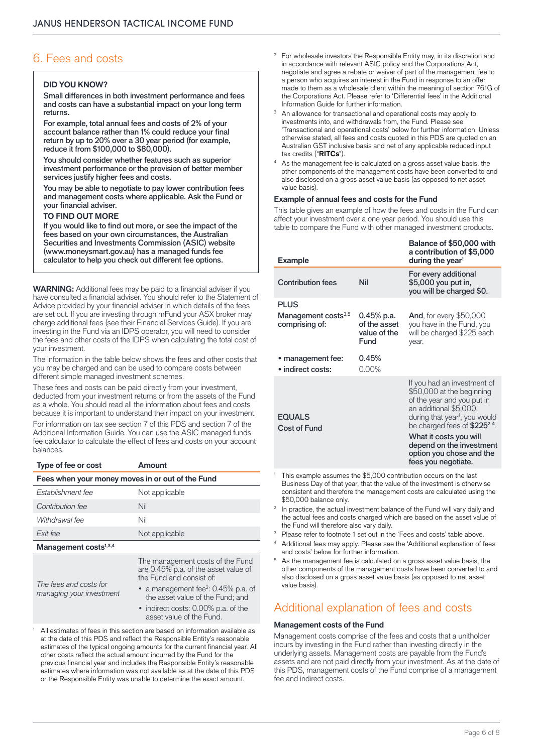## 6. Fees and costs

#### **DID YOU KNOW?**

Small differences in both investment performance and fees and costs can have a substantial impact on your long term returns.

For example, total annual fees and costs of 2% of your account balance rather than 1% could reduce your final return by up to 20% over a 30 year period (for example, reduce it from \$100,000 to \$80,000).

You should consider whether features such as superior investment performance or the provision of better member services justify higher fees and costs.

You may be able to negotiate to pay lower contribution fees and management costs where applicable. Ask the Fund or your financial adviser.

#### **TO FIND OUT MORE**

If you would like to find out more, or see the impact of the fees based on your own circumstances, the Australian Securities and Investments Commission (ASIC) website (www.moneysmart.gov.au) has a managed funds fee calculator to help you check out different fee options.

**WARNING:** Additional fees may be paid to a financial adviser if you have consulted a financial adviser. You should refer to the Statement of Advice provided by your financial adviser in which details of the fees are set out. If you are investing through mFund your ASX broker may charge additional fees (see their Financial Services Guide). If you are investing in the Fund via an IDPS operator, you will need to consider the fees and other costs of the IDPS when calculating the total cost of your investment.

The information in the table below shows the fees and other costs that you may be charged and can be used to compare costs between different simple managed investment schemes.

These fees and costs can be paid directly from your investment, deducted from your investment returns or from the assets of the Fund as a whole. You should read all the information about fees and costs because it is important to understand their impact on your investment.

For information on tax see section 7 of this PDS and section 7 of the Additional Information Guide. You can use the ASIC managed funds fee calculator to calculate the effect of fees and costs on your account balances.

| Type of fee or cost                              | Amount                                                                   |  |  |  |  |
|--------------------------------------------------|--------------------------------------------------------------------------|--|--|--|--|
| Fees when your money moves in or out of the Fund |                                                                          |  |  |  |  |
| Establishment fee                                | Not applicable                                                           |  |  |  |  |
| Contribution fee                                 | Nil                                                                      |  |  |  |  |
| Withdrawal fee                                   | Nil                                                                      |  |  |  |  |
| Exit fee                                         | Not applicable                                                           |  |  |  |  |
| Management costs <sup>1,3,4</sup>                |                                                                          |  |  |  |  |
|                                                  | The management costs of the Fund<br>are 0.45% p.a. of the asset value of |  |  |  |  |

*The fees and costs for managing your investment*

ue of the Fund and consist of: • a management fee<sup>2</sup>: 0.45% p.a. of

- the asset value of the Fund; and • indirect costs: 0.00% p.a. of the
- asset value of the Fund.
- <sup>1</sup> All estimates of fees in this section are based on information available as at the date of this PDS and reflect the Responsible Entity's reasonable estimates of the typical ongoing amounts for the current financial year. All other costs reflect the actual amount incurred by the Fund for the previous financial year and includes the Responsible Entity's reasonable estimates where information was not available as at the date of this PDS or the Responsible Entity was unable to determine the exact amount.
- <sup>2</sup> For wholesale investors the Responsible Entity may, in its discretion and in accordance with relevant ASIC policy and the Corporations Act, negotiate and agree a rebate or waiver of part of the management fee to a person who acquires an interest in the Fund in response to an offer made to them as a wholesale client within the meaning of section 761G of the Corporations Act. Please refer to 'Differential fees' in the Additional<br>Information Guide for further information
- An allowance for transactional and operational costs may apply to investments into, and withdrawals from, the Fund. Please see 'Transactional and operational costs' below for further information. Unless otherwise stated, all fees and costs quoted in this PDS are quoted on an Australian GST inclusive basis and net of any applicable reduced input tax credits ("**RITCs**").
- As the management fee is calculated on a gross asset value basis, the other components of the management costs have been converted to and also disclosed on a gross asset value basis (as opposed to net asset value basis).

#### **Example of annual fees and costs for the Fund**

This table gives an example of how the fees and costs in the Fund can affect your investment over a one year period. You should use this table to compare the Fund with other managed investment products.

| <b>Example</b>                                                   |                                                      | Balance of \$50,000 with<br>a contribution of \$5,000<br>during the year <sup>1</sup>                                                                                                                                                                                                                              |
|------------------------------------------------------------------|------------------------------------------------------|--------------------------------------------------------------------------------------------------------------------------------------------------------------------------------------------------------------------------------------------------------------------------------------------------------------------|
| <b>Contribution fees</b>                                         | Nil                                                  | For every additional<br>\$5,000 you put in,<br>you will be charged \$0.                                                                                                                                                                                                                                            |
| <b>PLUS</b><br>Management costs <sup>3,5</sup><br>comprising of: | $0.45%$ p.a.<br>of the asset<br>value of the<br>Fund | <b>And, for every \$50,000</b><br>you have in the Fund, you<br>will be charged \$225 each<br>year.                                                                                                                                                                                                                 |
| • management fee:<br>· indirect costs:                           | 0.45%<br>$0.00\%$                                    |                                                                                                                                                                                                                                                                                                                    |
| <b>EQUALS</b><br>Cost of Fund                                    |                                                      | If you had an investment of<br>\$50,000 at the beginning<br>of the year and you put in<br>an additional \$5,000<br>during that year <sup>1</sup> , you would<br>be charged fees of $$2252$ <sup>4</sup> .<br>What it costs you will<br>depend on the investment<br>option you chose and the<br>fees you negotiate. |

This example assumes the \$5,000 contribution occurs on the last Business Day of that year, that the value of the investment is otherwise consistent and therefore the management costs are calculated using the \$50,000 balance only.

In practice, the actual investment balance of the Fund will vary daily and the actual fees and costs charged which are based on the asset value of the Fund will therefore also vary daily.

<sup>3</sup> Please refer to footnote 1 set out in the 'Fees and costs' table above.

Additional fees may apply. Please see the 'Additional explanation of fees and costs' below for further information.

As the management fee is calculated on a gross asset value basis, the other components of the management costs have been converted to and also disclosed on a gross asset value basis (as opposed to net asset value basis).

## Additional explanation of fees and costs

#### **Management costs of the Fund**

Management costs comprise of the fees and costs that a unitholder incurs by investing in the Fund rather than investing directly in the underlying assets. Management costs are payable from the Fund's assets and are not paid directly from your investment. As at the date of this PDS, management costs of the Fund comprise of a management fee and indirect costs.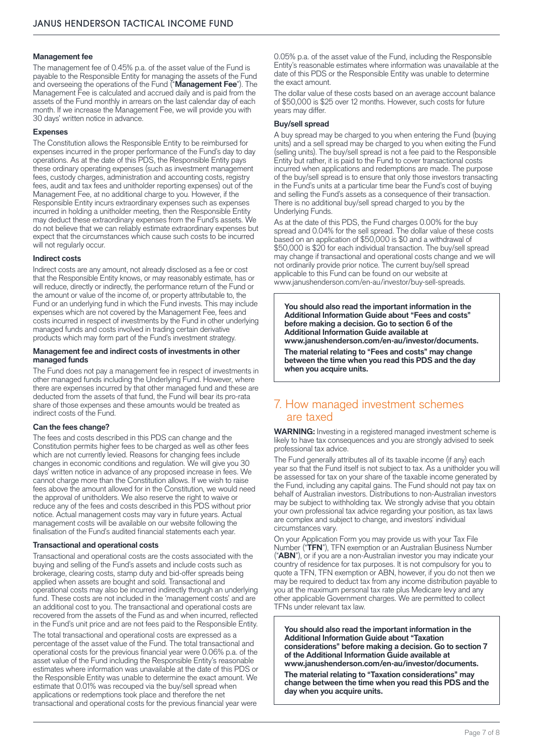#### **Management fee**

The management fee of 0.45% p.a. of the asset value of the Fund is payable to the Responsible Entity for managing the assets of the Fund and overseeing the operations of the Fund ("**Management Fee**"). The Management Fee is calculated and accrued daily and is paid from the assets of the Fund monthly in arrears on the last calendar day of each month. If we increase the Management Fee, we will provide you with 30 days' written notice in advance.

#### **Expenses**

The Constitution allows the Responsible Entity to be reimbursed for expenses incurred in the proper performance of the Fund's day to day operations. As at the date of this PDS, the Responsible Entity pays these ordinary operating expenses (such as investment management fees, custody charges, administration and accounting costs, registry fees, audit and tax fees and unitholder reporting expenses) out of the Management Fee, at no additional charge to you. However, if the Responsible Entity incurs extraordinary expenses such as expenses incurred in holding a unitholder meeting, then the Responsible Entity may deduct these extraordinary expenses from the Fund's assets. We do not believe that we can reliably estimate extraordinary expenses but expect that the circumstances which cause such costs to be incurred will not regularly occur.

#### **Indirect costs**

Indirect costs are any amount, not already disclosed as a fee or cost that the Responsible Entity knows, or may reasonably estimate, has or will reduce, directly or indirectly, the performance return of the Fund or the amount or value of the income of, or property attributable to, the Fund or an underlying fund in which the Fund invests. This may include expenses which are not covered by the Management Fee, fees and costs incurred in respect of investments by the Fund in other underlying managed funds and costs involved in trading certain derivative products which may form part of the Fund's investment strategy.

#### **Management fee and indirect costs of investments in other managed funds**

The Fund does not pay a management fee in respect of investments in other managed funds including the Underlying Fund. However, where there are expenses incurred by that other managed fund and these are deducted from the assets of that fund, the Fund will bear its pro-rata share of those expenses and these amounts would be treated as indirect costs of the Fund.

#### **Can the fees change?**

The fees and costs described in this PDS can change and the Constitution permits higher fees to be charged as well as other fees which are not currently levied. Reasons for changing fees include changes in economic conditions and regulation. We will give you 30 days' written notice in advance of any proposed increase in fees. We cannot charge more than the Constitution allows. If we wish to raise fees above the amount allowed for in the Constitution, we would need the approval of unitholders. We also reserve the right to waive or reduce any of the fees and costs described in this PDS without prior notice. Actual management costs may vary in future years. Actual management costs will be available on our website following the finalisation of the Fund's audited financial statements each year.

#### **Transactional and operational costs**

Transactional and operational costs are the costs associated with the buying and selling of the Fund's assets and include costs such as brokerage, clearing costs, stamp duty and bid-offer spreads being applied when assets are bought and sold. Transactional and operational costs may also be incurred indirectly through an underlying fund. These costs are not included in the 'management costs' and are an additional cost to you. The transactional and operational costs are recovered from the assets of the Fund as and when incurred, reflected in the Fund's unit price and are not fees paid to the Responsible Entity.

The total transactional and operational costs are expressed as a percentage of the asset value of the Fund. The total transactional and operational costs for the previous financial year were 0.06% p.a. of the asset value of the Fund including the Responsible Entity's reasonable estimates where information was unavailable at the date of this PDS or the Responsible Entity was unable to determine the exact amount. We estimate that 0.01% was recouped via the buy/sell spread when applications or redemptions took place and therefore the net transactional and operational costs for the previous financial year were

0.05% p.a. of the asset value of the Fund, including the Responsible Entity's reasonable estimates where information was unavailable at the date of this PDS or the Responsible Entity was unable to determine the exact amount.

The dollar value of these costs based on an average account balance of \$50,000 is \$25 over 12 months. However, such costs for future years may differ.

#### **Buy/sell spread**

A buy spread may be charged to you when entering the Fund (buying units) and a sell spread may be charged to you when exiting the Fund (selling units). The buy/sell spread is not a fee paid to the Responsible Entity but rather, it is paid to the Fund to cover transactional costs incurred when applications and redemptions are made. The purpose of the buy/sell spread is to ensure that only those investors transacting in the Fund's units at a particular time bear the Fund's cost of buying and selling the Fund's assets as a consequence of their transaction. There is no additional buy/sell spread charged to you by the Underlying Funds.

As at the date of this PDS, the Fund charges 0.00% for the buy spread and 0.04% for the sell spread. The dollar value of these costs based on an application of \$50,000 is \$0 and a withdrawal of \$50,000 is \$20 for each individual transaction. The buy/sell spread may change if transactional and operational costs change and we will not ordinarily provide prior notice. The current buy/sell spread applicable to this Fund can be found on our website at [www.janushenderson.com/en-au/investor/buy-sell-spreads.](http://www.janushenderson.com/en-au/investor/buy-sell-spreads/)

**You should also read the important information in the Additional Information Guide about "Fees and costs" before making a decision. Go to section 6 of the Additional Information Guide available at [www.janushenderson.com/en-au/investor/documents](http://www.janushenderson.com/en-au/investor/documents).**

**The material relating to "Fees and costs" may change between the time when you read this PDS and the day when you acquire units.**

## 7. How managed investment schemes are taxed

**WARNING:** Investing in a registered managed investment scheme is likely to have tax consequences and you are strongly advised to seek professional tax advice.

The Fund generally attributes all of its taxable income (if any) each year so that the Fund itself is not subject to tax. As a unitholder you will be assessed for tax on your share of the taxable income generated by the Fund, including any capital gains. The Fund should not pay tax on behalf of Australian investors. Distributions to non-Australian investors may be subject to withholding tax. We strongly advise that you obtain your own professional tax advice regarding your position, as tax laws are complex and subject to change, and investors' individual circumstances vary.

On your Application Form you may provide us with your Tax File Number ("**TFN**"), TFN exemption or an Australian Business Number ("**ABN**"), or if you are a non-Australian investor you may indicate your country of residence for tax purposes. It is not compulsory for you to quote a TFN, TFN exemption or ABN, however, if you do not then we may be required to deduct tax from any income distribution payable to you at the maximum personal tax rate plus Medicare levy and any other applicable Government charges. We are permitted to collect TFNs under relevant tax law.

**You should also read the important information in the Additional Information Guide about "Taxation considerations" before making a decision. Go to section 7 of the Additional Information Guide available at [www.janushenderson.com/en-au/investor/documents](http://www.janushenderson.com/en-au/investor/documents). The material relating to "Taxation considerations" may change between the time when you read this PDS and the day when you acquire units.**